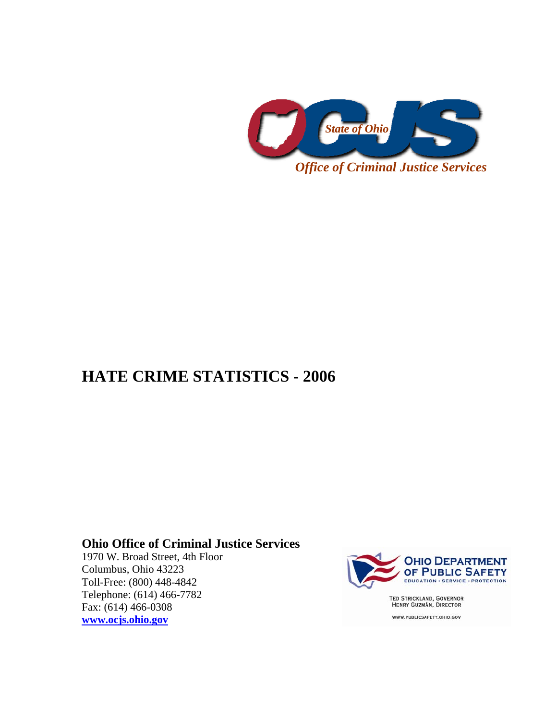

## **HATE CRIME STATISTICS - 2006**

## **Ohio Office of Criminal Justice Services**

1970 W. Broad Street, 4th Floor Columbus, Ohio 43223 Toll-Free: (800) 448-4842 Telephone: (614) 466-7782 Fax: (614) 466-0308 **www.ocjs.ohio.gov**



TED STRICKLAND, GOVERNOR<br>HENRY GUZMÁN, DIRECTOR

WWW.PUBLICSAFETY.OHIO.GOV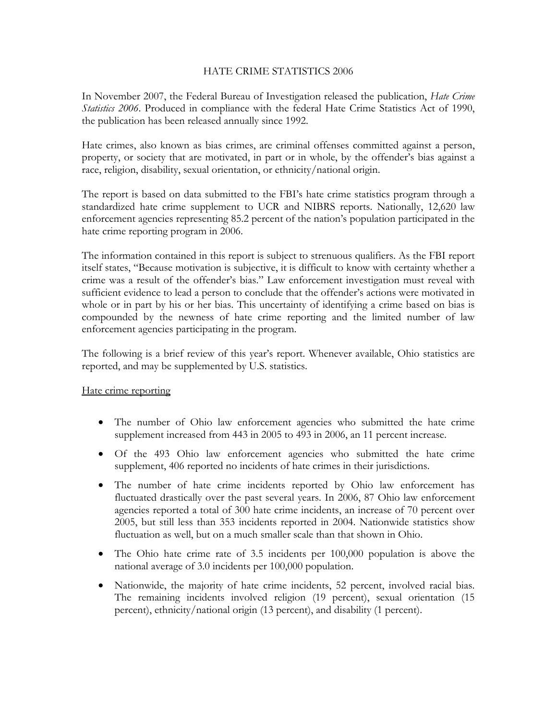## HATE CRIME STATISTICS 2006

In November 2007, the Federal Bureau of Investigation released the publication, *Hate Crime Statistics 2006*. Produced in compliance with the federal Hate Crime Statistics Act of 1990, the publication has been released annually since 1992.

Hate crimes, also known as bias crimes, are criminal offenses committed against a person, property, or society that are motivated, in part or in whole, by the offender's bias against a race, religion, disability, sexual orientation, or ethnicity/national origin.

The report is based on data submitted to the FBI's hate crime statistics program through a standardized hate crime supplement to UCR and NIBRS reports. Nationally, 12,620 law enforcement agencies representing 85.2 percent of the nation's population participated in the hate crime reporting program in 2006.

The information contained in this report is subject to strenuous qualifiers. As the FBI report itself states, "Because motivation is subjective, it is difficult to know with certainty whether a crime was a result of the offender's bias." Law enforcement investigation must reveal with sufficient evidence to lead a person to conclude that the offender's actions were motivated in whole or in part by his or her bias. This uncertainty of identifying a crime based on bias is compounded by the newness of hate crime reporting and the limited number of law enforcement agencies participating in the program.

The following is a brief review of this year's report. Whenever available, Ohio statistics are reported, and may be supplemented by U.S. statistics.

## Hate crime reporting

- The number of Ohio law enforcement agencies who submitted the hate crime supplement increased from 443 in 2005 to 493 in 2006, an 11 percent increase.
- Of the 493 Ohio law enforcement agencies who submitted the hate crime supplement, 406 reported no incidents of hate crimes in their jurisdictions.
- The number of hate crime incidents reported by Ohio law enforcement has fluctuated drastically over the past several years. In 2006, 87 Ohio law enforcement agencies reported a total of 300 hate crime incidents, an increase of 70 percent over 2005, but still less than 353 incidents reported in 2004. Nationwide statistics show fluctuation as well, but on a much smaller scale than that shown in Ohio.
- The Ohio hate crime rate of 3.5 incidents per 100,000 population is above the national average of 3.0 incidents per 100,000 population.
- Nationwide, the majority of hate crime incidents, 52 percent, involved racial bias. The remaining incidents involved religion (19 percent), sexual orientation (15 percent), ethnicity/national origin (13 percent), and disability (1 percent).